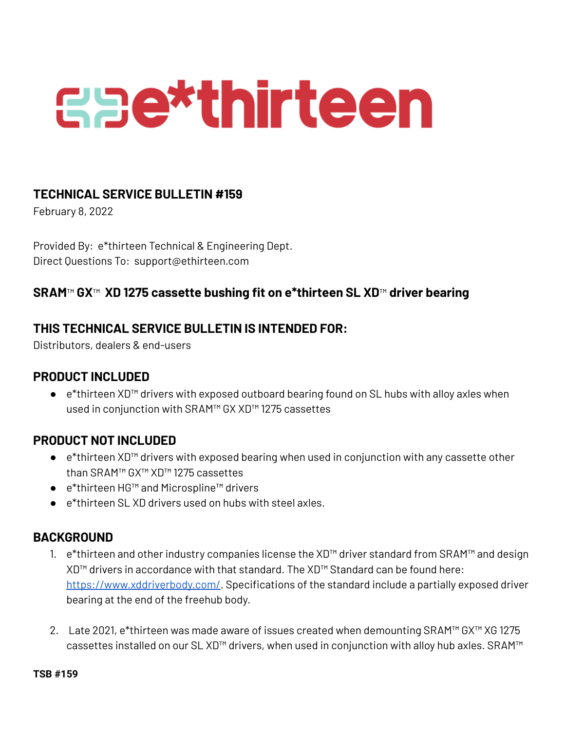# **Eae\*thirteen**

## **TECHNICAL SERVICE BULLETIN #159**

February 8, 2022

Provided By: e\*thirteen Technical & Engineering Dept. Direct Questions To: support@ethirteen.com

# **SRAM**™ **GX**™ **XD 1275 cassette bushing fit on e\*thirteen SL XD**™ **driver bearing**

# **THIS TECHNICAL SERVICE BULLETIN IS INTENDED FOR:**

Distributors, dealers & end-users

#### **PRODUCT INCLUDED**

● e\*thirteen XD™ drivers with exposed outboard bearing found on SL hubs with alloy axles when used in conjunction with SRAM™ GX XD™ 1275 cassettes

## **PRODUCT NOT INCLUDED**

- e\*thirteen XD™ drivers with exposed bearing when used in conjunction with any cassette other than SRAM™ GX™ XD™ 1275 cassettes
- e\*thirteen HG™ and Microspline™ drivers
- e<sup>\*</sup>thirteen SLXD drivers used on hubs with steel axles.

## **BACKGROUND**

- 1. e\*thirteen and other industry companies license the XD™ driver standard from SRAM™ and design XD™ drivers in accordance with that standard. The XD™ Standard can be found here: <https://www.xddriverbody.com/>. Specifications of the standard include a partially exposed driver bearing at the end of the freehub body.
- 2. Late 2021, e\*thirteen was made aware of issues created when demounting SRAM™ GX™ XG 1275 cassettes installed on our SL XD™ drivers, when used in conjunction with alloy hub axles. SRAM™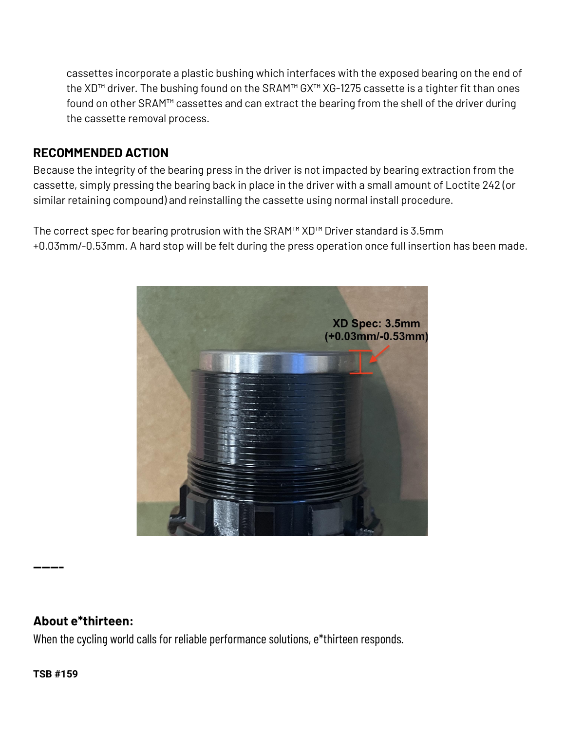cassettes incorporate a plastic bushing which interfaces with the exposed bearing on the end of the XD™ driver. The bushing found on the SRAM™ GX™ XG-1275 cassette is a tighter fit than ones found on other SRAM™ cassettes and can extract the bearing from the shell of the driver during the cassette removal process.

## **RECOMMENDED ACTION**

Because the integrity of the bearing press in the driver is not impacted by bearing extraction from the cassette, simply pressing the bearing back in place in the driver with a small amount of Loctite 242 (or similar retaining compound) and reinstalling the cassette using normal install procedure.

The correct spec for bearing protrusion with the SRAM™ XD™ Driver standard is 3.5mm +0.03mm/-0.53mm. A hard stop will be felt during the press operation once full insertion has been made.



## **About e\*thirteen:**

When the cycling world calls for reliable performance solutions, e\*thirteen responds.

**------**